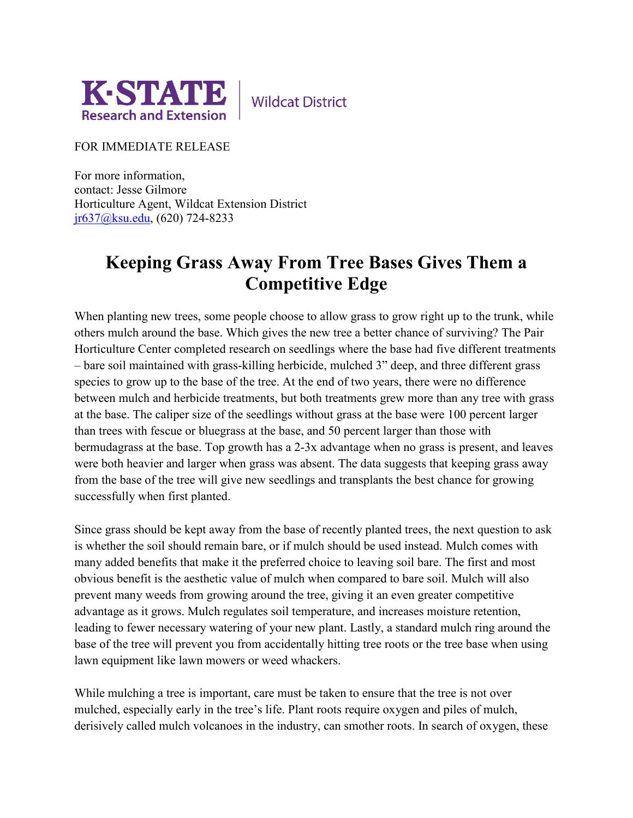

**Wildcat District** 

FOR IMMEDIATE RELEASE

For more information, contact: Jesse Gilmore Horticulture Agent, Wildcat Extension District [jr637@ksu.edu,](mailto:jr637@ksu.edu) (620) 724-8233

## **Keeping Grass Away From Tree Bases Gives Them a Competitive Edge**

When planting new trees, some people choose to allow grass to grow right up to the trunk, while others mulch around the base. Which gives the new tree a better chance of surviving? The Pair Horticulture Center completed research on seedlings where the base had five different treatments – bare soil maintained with grass-killing herbicide, mulched 3" deep, and three different grass species to grow up to the base of the tree. At the end of two years, there were no difference between mulch and herbicide treatments, but both treatments grew more than any tree with grass at the base. The caliper size of the seedlings without grass at the base were 100 percent larger than trees with fescue or bluegrass at the base, and 50 percent larger than those with bermudagrass at the base. Top growth has a 2-3x advantage when no grass is present, and leaves were both heavier and larger when grass was absent. The data suggests that keeping grass away from the base of the tree will give new seedlings and transplants the best chance for growing successfully when first planted.

Since grass should be kept away from the base of recently planted trees, the next question to ask is whether the soil should remain bare, or if mulch should be used instead. Mulch comes with many added benefits that make it the preferred choice to leaving soil bare. The first and most obvious benefit is the aesthetic value of mulch when compared to bare soil. Mulch will also prevent many weeds from growing around the tree, giving it an even greater competitive advantage as it grows. Mulch regulates soil temperature, and increases moisture retention, leading to fewer necessary watering of your new plant. Lastly, a standard mulch ring around the base of the tree will prevent you from accidentally hitting tree roots or the tree base when using lawn equipment like lawn mowers or weed whackers.

While mulching a tree is important, care must be taken to ensure that the tree is not over mulched, especially early in the tree's life. Plant roots require oxygen and piles of mulch, derisively called mulch volcanoes in the industry, can smother roots. In search of oxygen, these